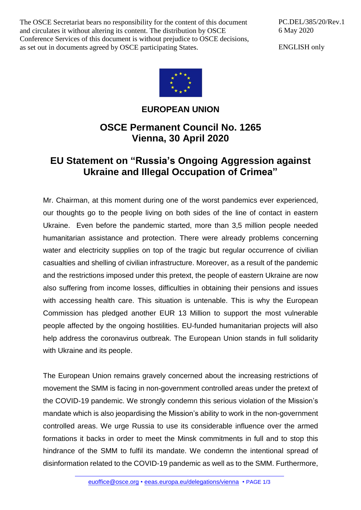The OSCE Secretariat bears no responsibility for the content of this document and circulates it without altering its content. The distribution by OSCE Conference Services of this document is without prejudice to OSCE decisions, as set out in documents agreed by OSCE participating States.

PC.DEL/385/20/Rev.1 6 May 2020

ENGLISH only



## **EUROPEAN UNION**

## **OSCE Permanent Council No. 1265 Vienna, 30 April 2020**

## **EU Statement on "Russia's Ongoing Aggression against Ukraine and Illegal Occupation of Crimea"**

Mr. Chairman, at this moment during one of the worst pandemics ever experienced, our thoughts go to the people living on both sides of the line of contact in eastern Ukraine. Even before the pandemic started, more than 3,5 million people needed humanitarian assistance and protection. There were already problems concerning water and electricity supplies on top of the tragic but regular occurrence of civilian casualties and shelling of civilian infrastructure. Moreover, as a result of the pandemic and the restrictions imposed under this pretext, the people of eastern Ukraine are now also suffering from income losses, difficulties in obtaining their pensions and issues with accessing health care. This situation is untenable. This is why the European Commission has pledged another EUR 13 Million to support the most vulnerable people affected by the ongoing hostilities. EU-funded humanitarian projects will also help address the coronavirus outbreak. The European Union stands in full solidarity with Ukraine and its people.

The European Union remains gravely concerned about the increasing restrictions of movement the SMM is facing in non-government controlled areas under the pretext of the COVID-19 pandemic. We strongly condemn this serious violation of the Mission's mandate which is also jeopardising the Mission's ability to work in the non-government controlled areas. We urge Russia to use its considerable influence over the armed formations it backs in order to meet the Minsk commitments in full and to stop this hindrance of the SMM to fulfil its mandate. We condemn the intentional spread of disinformation related to the COVID-19 pandemic as well as to the SMM. Furthermore,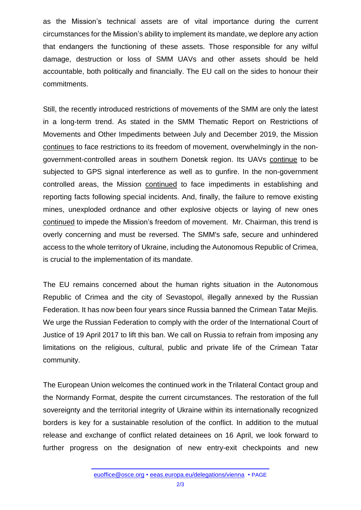as the Mission's technical assets are of vital importance during the current circumstances for the Mission's ability to implement its mandate, we deplore any action that endangers the functioning of these assets. Those responsible for any wilful damage, destruction or loss of SMM UAVs and other assets should be held accountable, both politically and financially. The EU call on the sides to honour their commitments.

Still, the recently introduced restrictions of movements of the SMM are only the latest in a long-term trend. As stated in the SMM Thematic Report on Restrictions of Movements and Other Impediments between July and December 2019, the Mission continues to face restrictions to its freedom of movement, overwhelmingly in the nongovernment-controlled areas in southern Donetsk region. Its UAVs continue to be subjected to GPS signal interference as well as to gunfire. In the non-government controlled areas, the Mission continued to face impediments in establishing and reporting facts following special incidents. And, finally, the failure to remove existing mines, unexploded ordnance and other explosive objects or laying of new ones continued to impede the Mission's freedom of movement. Mr. Chairman, this trend is overly concerning and must be reversed. The SMM's safe, secure and unhindered access to the whole territory of Ukraine, including the Autonomous Republic of Crimea, is crucial to the implementation of its mandate.

The EU remains concerned about the human rights situation in the Autonomous Republic of Crimea and the city of Sevastopol, illegally annexed by the Russian Federation. It has now been four years since Russia banned the Crimean Tatar Mejlis. We urge the Russian Federation to comply with the order of the International Court of Justice of 19 April 2017 to lift this ban. We call on Russia to refrain from imposing any limitations on the religious, cultural, public and private life of the Crimean Tatar community.

The European Union welcomes the continued work in the Trilateral Contact group and the Normandy Format, despite the current circumstances. The restoration of the full sovereignty and the territorial integrity of Ukraine within its internationally recognized borders is key for a sustainable resolution of the conflict. In addition to the mutual release and exchange of conflict related detainees on 16 April, we look forward to further progress on the designation of new entry-exit checkpoints and new